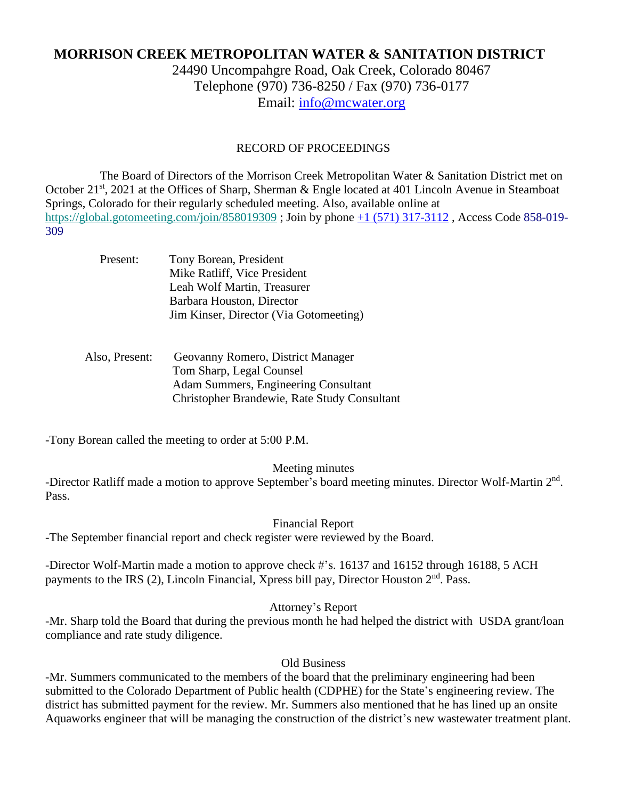# **MORRISON CREEK METROPOLITAN WATER & SANITATION DISTRICT**

24490 Uncompahgre Road, Oak Creek, Colorado 80467 Telephone (970) 736-8250 / Fax (970) 736-0177 Email: [info@mcwater.org](mailto:info@mcwater.org)

### RECORD OF PROCEEDINGS

 The Board of Directors of the Morrison Creek Metropolitan Water & Sanitation District met on October 21<sup>st</sup>, 2021 at the Offices of Sharp, Sherman & Engle located at 401 Lincoln Avenue in Steamboat Springs, Colorado for their regularly scheduled meeting. Also, available online at https://global.gotomeeting.com/join/858019309 ; Join by phone +1 (571) 317-3112 , Access Code 858-019- 309

| Tony Borean, President                 |
|----------------------------------------|
| Mike Ratliff, Vice President           |
| Leah Wolf Martin, Treasurer            |
| Barbara Houston, Director              |
| Jim Kinser, Director (Via Gotomeeting) |
|                                        |

### Also, Present: Geovanny Romero, District Manager Tom Sharp, Legal Counsel Adam Summers, Engineering Consultant Christopher Brandewie, Rate Study Consultant

-Tony Borean called the meeting to order at 5:00 P.M.

Meeting minutes

-Director Ratliff made a motion to approve September's board meeting minutes. Director Wolf-Martin 2<sup>nd</sup>. Pass.

#### Financial Report

-The September financial report and check register were reviewed by the Board.

-Director Wolf-Martin made a motion to approve check #'s. 16137 and 16152 through 16188, 5 ACH payments to the IRS (2), Lincoln Financial, Xpress bill pay, Director Houston 2<sup>nd</sup>. Pass.

Attorney's Report

-Mr. Sharp told the Board that during the previous month he had helped the district with USDA grant/loan compliance and rate study diligence.

Old Business

-Mr. Summers communicated to the members of the board that the preliminary engineering had been submitted to the Colorado Department of Public health (CDPHE) for the State's engineering review. The district has submitted payment for the review. Mr. Summers also mentioned that he has lined up an onsite Aquaworks engineer that will be managing the construction of the district's new wastewater treatment plant.